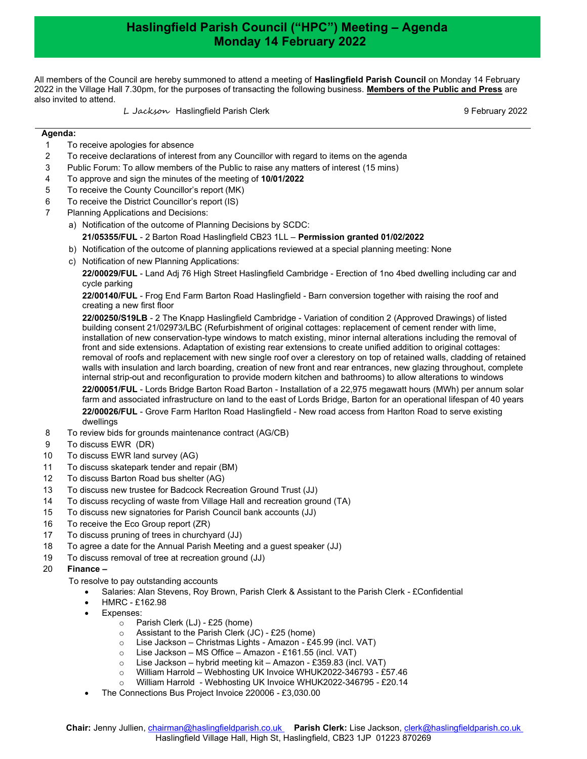## Haslingfield Parish Council ("HPC") Meeting – Agenda Monday 14 February 2022

All members of the Council are hereby summoned to attend a meeting of Haslingfield Parish Council on Monday 14 February 2022 in the Village Hall 7.30pm, for the purposes of transacting the following business. Members of the Public and Press are also invited to attend.

L Jackson Haslingfield Parish Clerk 9 February 2022

## Agenda:

- 1 To receive apologies for absence
- 2 To receive declarations of interest from any Councillor with regard to items on the agenda
- 3 Public Forum: To allow members of the Public to raise any matters of interest (15 mins)
- 4 To approve and sign the minutes of the meeting of 10/01/2022
- 5 To receive the County Councillor's report (MK)
- 6 To receive the District Councillor's report (IS)
- 7 Planning Applications and Decisions:
	- a) Notification of the outcome of Planning Decisions by SCDC:
		- 21/05355/FUL 2 Barton Road Haslingfield CB23 1LL Permission granted 01/02/2022
	- b) Notification of the outcome of planning applications reviewed at a special planning meeting: None
	- c) Notification of new Planning Applications:

22/00029/FUL - Land Adj 76 High Street Haslingfield Cambridge - Erection of 1no 4bed dwelling including car and cycle parking

22/00140/FUL - Frog End Farm Barton Road Haslingfield - Barn conversion together with raising the roof and creating a new first floor

22/00250/S19LB - 2 The Knapp Haslingfield Cambridge - Variation of condition 2 (Approved Drawings) of listed building consent 21/02973/LBC (Refurbishment of original cottages: replacement of cement render with lime, installation of new conservation-type windows to match existing, minor internal alterations including the removal of front and side extensions. Adaptation of existing rear extensions to create unified addition to original cottages: removal of roofs and replacement with new single roof over a clerestory on top of retained walls, cladding of retained walls with insulation and larch boarding, creation of new front and rear entrances, new glazing throughout, complete internal strip-out and reconfiguration to provide modern kitchen and bathrooms) to allow alterations to windows

22/00051/FUL - Lords Bridge Barton Road Barton - Installation of a 22,975 megawatt hours (MWh) per annum solar farm and associated infrastructure on land to the east of Lords Bridge, Barton for an operational lifespan of 40 years 22/00026/FUL - Grove Farm Harlton Road Haslingfield - New road access from Harlton Road to serve existing dwellings

- 8 To review bids for grounds maintenance contract (AG/CB)
- 9 To discuss EWR (DR)
- 10 To discuss EWR land survey (AG)
- 11 To discuss skatepark tender and repair (BM)
- 12 To discuss Barton Road bus shelter (AG)
- 13 To discuss new trustee for Badcock Recreation Ground Trust (JJ)
- 14 To discuss recycling of waste from Village Hall and recreation ground (TA)
- 15 To discuss new signatories for Parish Council bank accounts (JJ)
- 16 To receive the Eco Group report (ZR)
- 17 To discuss pruning of trees in churchyard (JJ)
- 18 To agree a date for the Annual Parish Meeting and a guest speaker (JJ)
- 19 To discuss removal of tree at recreation ground (JJ)

## 20 Finance –

- To resolve to pay outstanding accounts
	- Salaries: Alan Stevens, Roy Brown, Parish Clerk & Assistant to the Parish Clerk £Confidential
	- HMRC £162.98
	- Expenses:
		- o Parish Clerk (LJ) £25 (home)
		-
		- Assistant to the Parish Clerk (JC) £25 (home)<br>○ Lise Jackson Christmas Lights Amazon £4<br>○ Lise Jackson MS Office Amazon £161.55 Lise Jackson – Christmas Lights - Amazon - £45.99 (incl. VAT)
		- Lise Jackson MS Office Amazon £161.55 (incl. VAT)
		- o Lise Jackson hybrid meeting kit Amazon £359.83 (incl. VAT)
		- o William Harrold Webhosting UK Invoice WHUK2022-346793 £57.46
		- William Harrold Webhosting UK Invoice WHUK2022-346795 £20.14
	- The Connections Bus Project Invoice 220006 £3,030.00